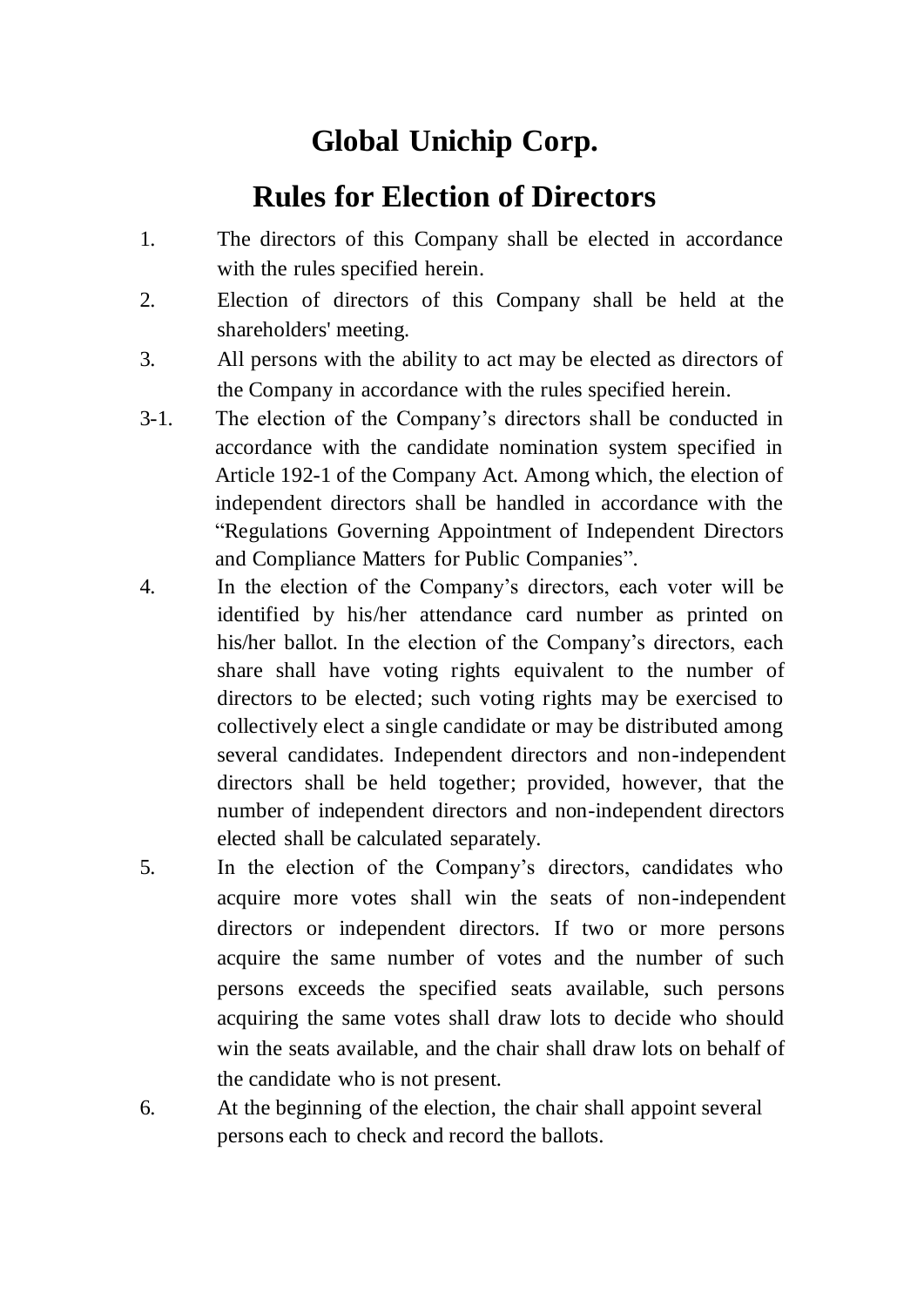## **Global Unichip Corp.**

## **Rules for Election of Directors**

- 1. The directors of this Company shall be elected in accordance with the rules specified herein.
- 2. Election of directors of this Company shall be held at the shareholders' meeting.
- 3. All persons with the ability to act may be elected as directors of the Company in accordance with the rules specified herein.
- 3-1. The election of the Company's directors shall be conducted in accordance with the candidate nomination system specified in Article 192-1 of the Company Act. Among which, the election of independent directors shall be handled in accordance with the "Regulations Governing Appointment of Independent Directors and Compliance Matters for Public Companies".
- 4. In the election of the Company's directors, each voter will be identified by his/her attendance card number as printed on his/her ballot. In the election of the Company's directors, each share shall have voting rights equivalent to the number of directors to be elected; such voting rights may be exercised to collectively elect a single candidate or may be distributed among several candidates. Independent directors and non-independent directors shall be held together; provided, however, that the number of independent directors and non-independent directors elected shall be calculated separately.
- 5. In the election of the Company's directors, candidates who acquire more votes shall win the seats of non-independent directors or independent directors. If two or more persons acquire the same number of votes and the number of such persons exceeds the specified seats available, such persons acquiring the same votes shall draw lots to decide who should win the seats available, and the chair shall draw lots on behalf of the candidate who is not present.
- 6. At the beginning of the election, the chair shall appoint several persons each to check and record the ballots.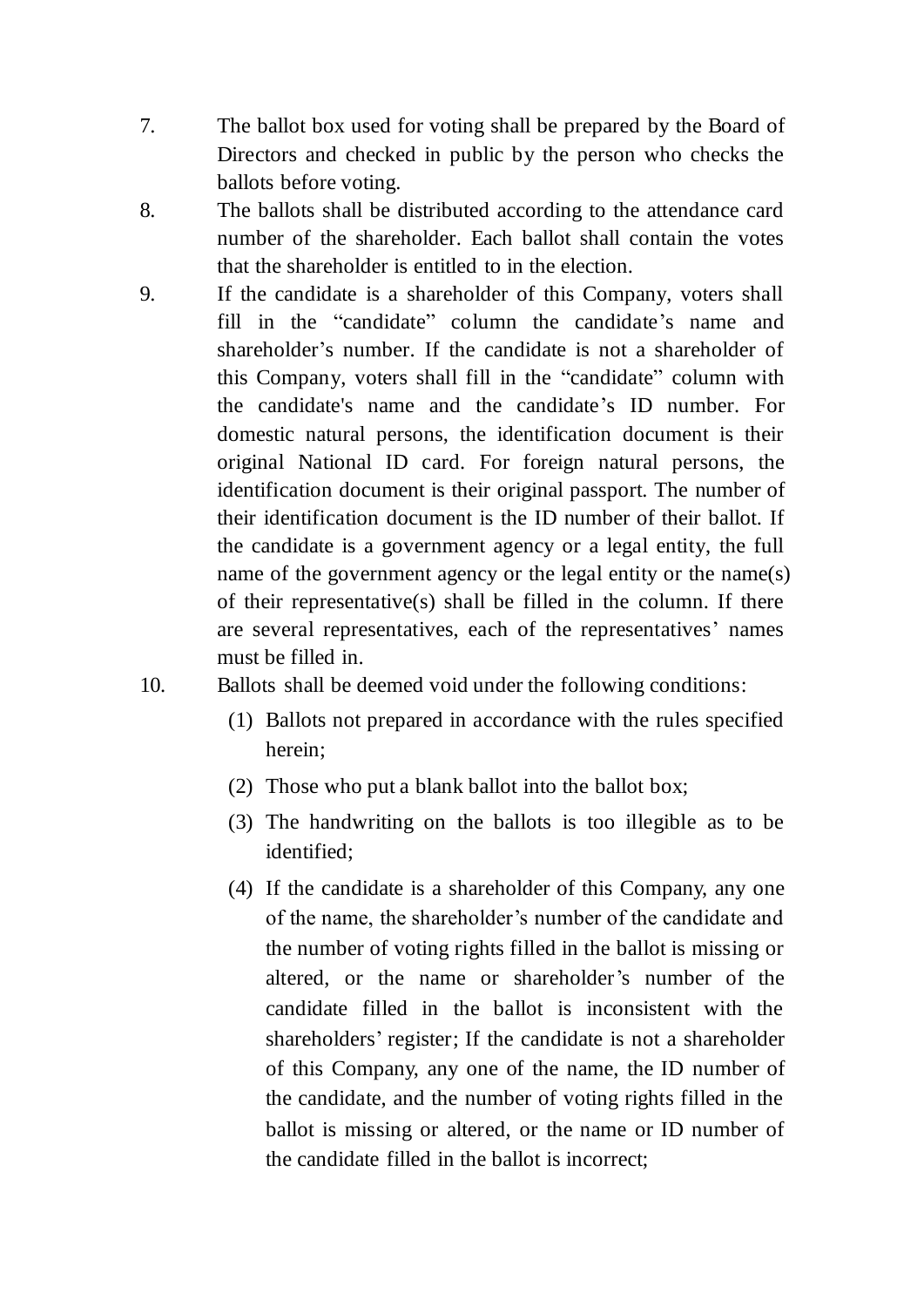- 7. The ballot box used for voting shall be prepared by the Board of Directors and checked in public by the person who checks the ballots before voting.
- 8. The ballots shall be distributed according to the attendance card number of the shareholder. Each ballot shall contain the votes that the shareholder is entitled to in the election.
- 9. If the candidate is a shareholder of this Company, voters shall fill in the "candidate" column the candidate's name and shareholder's number. If the candidate is not a shareholder of this Company, voters shall fill in the "candidate" column with the candidate's name and the candidate's ID number. For domestic natural persons, the identification document is their original National ID card. For foreign natural persons, the identification document is their original passport. The number of their identification document is the ID number of their ballot. If the candidate is a government agency or a legal entity, the full name of the government agency or the legal entity or the name(s) of their representative(s) shall be filled in the column. If there are several representatives, each of the representatives' names must be filled in.
- 10. Ballots shall be deemed void under the following conditions:
	- (1) Ballots not prepared in accordance with the rules specified herein;
	- (2) Those who put a blank ballot into the ballot box;
	- (3) The handwriting on the ballots is too illegible as to be identified;
	- (4) If the candidate is a shareholder of this Company, any one of the name, the shareholder's number of the candidate and the number of voting rights filled in the ballot is missing or altered, or the name or shareholder's number of the candidate filled in the ballot is inconsistent with the shareholders' register; If the candidate is not a shareholder of this Company, any one of the name, the ID number of the candidate, and the number of voting rights filled in the ballot is missing or altered, or the name or ID number of the candidate filled in the ballot is incorrect;